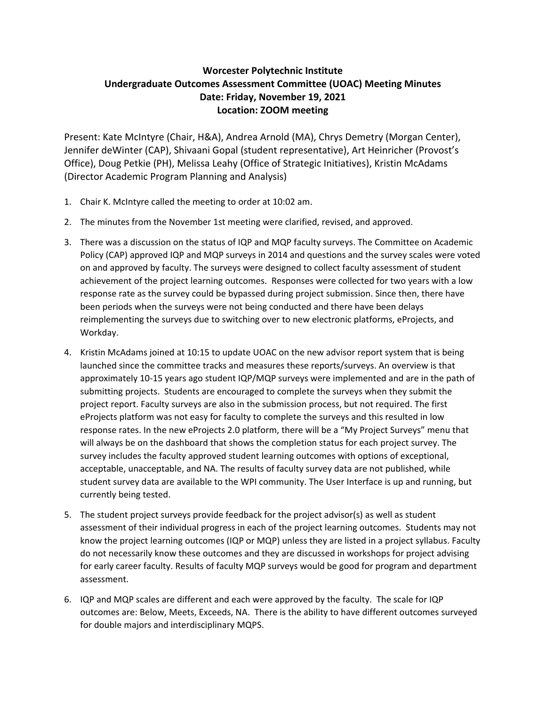## **Worcester Polytechnic Institute Undergraduate Outcomes Assessment Committee (UOAC) Meeting Minutes Date: Friday, November 19, 2021 Location: ZOOM meeting**

Present: Kate McIntyre (Chair, H&A), Andrea Arnold (MA), Chrys Demetry (Morgan Center), Jennifer deWinter (CAP), Shivaani Gopal (student representative), Art Heinricher (Provost's Office), Doug Petkie (PH), Melissa Leahy (Office of Strategic Initiatives), Kristin McAdams (Director Academic Program Planning and Analysis)

- 1. Chair K. McIntyre called the meeting to order at 10:02 am.
- 2. The minutes from the November 1st meeting were clarified, revised, and approved.
- 3. There was a discussion on the status of IQP and MQP faculty surveys. The Committee on Academic Policy (CAP) approved IQP and MQP surveys in 2014 and questions and the survey scales were voted on and approved by faculty. The surveys were designed to collect faculty assessment of student achievement of the project learning outcomes. Responses were collected for two years with a low response rate as the survey could be bypassed during project submission. Since then, there have been periods when the surveys were not being conducted and there have been delays reimplementing the surveys due to switching over to new electronic platforms, eProjects, and Workday.
- 4. Kristin McAdams joined at 10:15 to update UOAC on the new advisor report system that is being launched since the committee tracks and measures these reports/surveys. An overview is that approximately 10‐15 years ago student IQP/MQP surveys were implemented and are in the path of submitting projects. Students are encouraged to complete the surveys when they submit the project report. Faculty surveys are also in the submission process, but not required. The first eProjects platform was not easy for faculty to complete the surveys and this resulted in low response rates. In the new eProjects 2.0 platform, there will be a "My Project Surveys" menu that will always be on the dashboard that shows the completion status for each project survey. The survey includes the faculty approved student learning outcomes with options of exceptional, acceptable, unacceptable, and NA. The results of faculty survey data are not published, while student survey data are available to the WPI community. The User Interface is up and running, but currently being tested.
- 5. The student project surveys provide feedback for the project advisor(s) as well as student assessment of their individual progress in each of the project learning outcomes. Students may not know the project learning outcomes (IQP or MQP) unless they are listed in a project syllabus. Faculty do not necessarily know these outcomes and they are discussed in workshops for project advising for early career faculty. Results of faculty MQP surveys would be good for program and department assessment.
- 6. IQP and MQP scales are different and each were approved by the faculty. The scale for IQP outcomes are: Below, Meets, Exceeds, NA. There is the ability to have different outcomes surveyed for double majors and interdisciplinary MQPS.